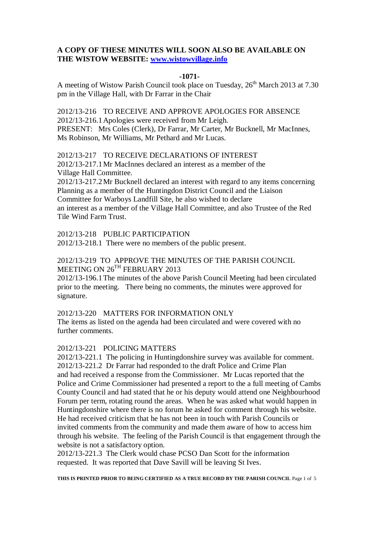## **A COPY OF THESE MINUTES WILL SOON ALSO BE AVAILABLE ON THE WISTOW WEBSITE: [www.wistowvillage.info](http://www.wistowvillage.info/)**

#### **-1071-**

A meeting of Wistow Parish Council took place on Tuesday,  $26<sup>th</sup>$  March 2013 at 7.30 pm in the Village Hall, with Dr Farrar in the Chair

2012/13-216 TO RECEIVE AND APPROVE APOLOGIES FOR ABSENCE 2012/13-216.1Apologies were received from Mr Leigh. PRESENT: Mrs Coles (Clerk), Dr Farrar, Mr Carter, Mr Bucknell, Mr MacInnes, Ms Robinson, Mr Williams, Mr Pethard and Mr Lucas.

2012/13-217 TO RECEIVE DECLARATIONS OF INTEREST 2012/13-217.1Mr MacInnes declared an interest as a member of the Village Hall Committee. 2012/13-217.2Mr Bucknell declared an interest with regard to any items concerning

Planning as a member of the Huntingdon District Council and the Liaison Committee for Warboys Landfill Site, he also wished to declare an interest as a member of the Village Hall Committee, and also Trustee of the Red Tile Wind Farm Trust.

2012/13-218 PUBLIC PARTICIPATION

2012/13-218.1 There were no members of the public present.

# 2012/13-219 TO APPROVE THE MINUTES OF THE PARISH COUNCIL MEETING ON 26<sup>TH</sup> FEBRUARY 2013

2012/13-196.1The minutes of the above Parish Council Meeting had been circulated prior to the meeting. There being no comments, the minutes were approved for signature.

### 2012/13-220 MATTERS FOR INFORMATION ONLY

The items as listed on the agenda had been circulated and were covered with no further comments.

# 2012/13-221 POLICING MATTERS

2012/13-221.1 The policing in Huntingdonshire survey was available for comment. 2012/13-221.2 Dr Farrar had responded to the draft Police and Crime Plan and had received a response from the Commissioner. Mr Lucas reported that the Police and Crime Commissioner had presented a report to the a full meeting of Cambs County Council and had stated that he or his deputy would attend one Neighbourhood Forum per term, rotating round the areas. When he was asked what would happen in Huntingdonshire where there is no forum he asked for comment through his website. He had received criticism that he has not been in touch with Parish Councils or invited comments from the community and made them aware of how to access him through his website. The feeling of the Parish Council is that engagement through the website is not a satisfactory option.

2012/13-221.3 The Clerk would chase PCSO Dan Scott for the information requested. It was reported that Dave Savill will be leaving St Ives.

**THIS IS PRINTED PRIOR TO BEING CERTIFIED AS A TRUE RECORD BY THE PARISH COUNCIL** Page 1 of 5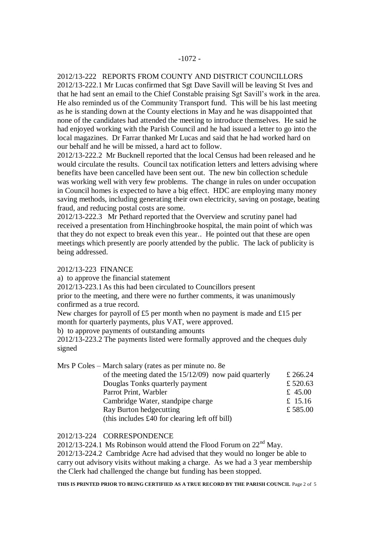# 2012/13-222 REPORTS FROM COUNTY AND DISTRICT COUNCILLORS

2012/13-222.1 Mr Lucas confirmed that Sgt Dave Savill will be leaving St Ives and that he had sent an email to the Chief Constable praising Sgt Savill's work in the area. He also reminded us of the Community Transport fund. This will be his last meeting as he is standing down at the County elections in May and he was disappointed that none of the candidates had attended the meeting to introduce themselves. He said he had enjoyed working with the Parish Council and he had issued a letter to go into the local magazines. Dr Farrar thanked Mr Lucas and said that he had worked hard on our behalf and he will be missed, a hard act to follow.

2012/13-222.2 Mr Bucknell reported that the local Census had been released and he would circulate the results. Council tax notification letters and letters advising where benefits have been cancelled have been sent out. The new bin collection schedule was working well with very few problems. The change in rules on under occupation in Council homes is expected to have a big effect. HDC are employing many money saving methods, including generating their own electricity, saving on postage, beating fraud, and reducing postal costs are some.

2012/13-222.3 Mr Pethard reported that the Overview and scrutiny panel had received a presentation from Hinchingbrooke hospital, the main point of which was that they do not expect to break even this year.. He pointed out that these are open meetings which presently are poorly attended by the public. The lack of publicity is being addressed.

2012/13-223 FINANCE

a) to approve the financial statement

2012/13-223.1As this had been circulated to Councillors present

prior to the meeting, and there were no further comments, it was unanimously confirmed as a true record.

New charges for payroll of £5 per month when no payment is made and £15 per month for quarterly payments, plus VAT, were approved.

b) to approve payments of outstanding amounts

2012/13-223.2 The payments listed were formally approved and the cheques duly signed

| Mrs P Coles – March salary (rates as per minute no. 8e |          |
|--------------------------------------------------------|----------|
| of the meeting dated the $15/12/09$ now paid quarterly | £ 266.24 |
| Douglas Tonks quarterly payment                        | £520.63  |
| Parrot Print, Warbler                                  | £ 45.00  |
| Cambridge Water, standpipe charge                      | £ 15.16  |
| Ray Burton hedgecutting                                | £585.00  |
| (this includes £40 for clearing left off bill)         |          |

#### 2012/13-224 CORRESPONDENCE

2012/13-224.1 Ms Robinson would attend the Flood Forum on  $22<sup>nd</sup>$  May. 2012/13-224.2 Cambridge Acre had advised that they would no longer be able to

carry out advisory visits without making a charge. As we had a 3 year membership the Clerk had challenged the change but funding has been stopped.

**THIS IS PRINTED PRIOR TO BEING CERTIFIED AS A TRUE RECORD BY THE PARISH COUNCIL** Page 2 of 5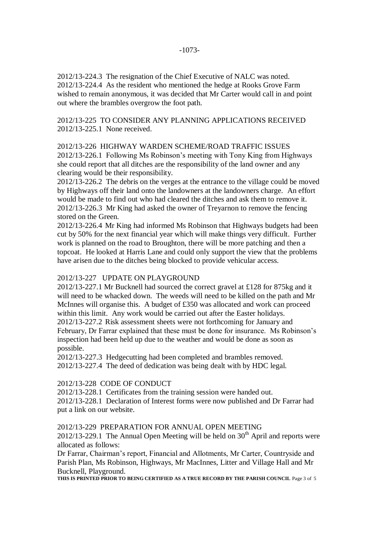2012/13-224.3 The resignation of the Chief Executive of NALC was noted. 2012/13-224.4 As the resident who mentioned the hedge at Rooks Grove Farm wished to remain anonymous, it was decided that Mr Carter would call in and point out where the brambles overgrow the foot path.

2012/13-225 TO CONSIDER ANY PLANNING APPLICATIONS RECEIVED 2012/13-225.1 None received.

2012/13-226 HIGHWAY WARDEN SCHEME/ROAD TRAFFIC ISSUES 2012/13-226.1 Following Ms Robinson's meeting with Tony King from Highways she could report that all ditches are the responsibility of the land owner and any clearing would be their responsibility.

2012/13-226.2 The debris on the verges at the entrance to the village could be moved by Highways off their land onto the landowners at the landowners charge. An effort would be made to find out who had cleared the ditches and ask them to remove it. 2012/13-226.3 Mr King had asked the owner of Treyarnon to remove the fencing stored on the Green.

2012/13-226.4 Mr King had informed Ms Robinson that Highways budgets had been cut by 50% for the next financial year which will make things very difficult. Further work is planned on the road to Broughton, there will be more patching and then a topcoat. He looked at Harris Lane and could only support the view that the problems have arisen due to the ditches being blocked to provide vehicular access.

#### 2012/13-227 UPDATE ON PLAYGROUND

2012/13-227.1 Mr Bucknell had sourced the correct gravel at £128 for 875kg and it will need to be whacked down. The weeds will need to be killed on the path and Mr McInnes will organise this. A budget of £350 was allocated and work can proceed within this limit. Any work would be carried out after the Easter holidays. 2012/13-227.2 Risk assessment sheets were not forthcoming for January and February, Dr Farrar explained that these must be done for insurance. Ms Robinson's inspection had been held up due to the weather and would be done as soon as possible.

2012/13-227.3 Hedgecutting had been completed and brambles removed. 2012/13-227.4 The deed of dedication was being dealt with by HDC legal.

## 2012/13-228 CODE OF CONDUCT

2012/13-228.1 Certificates from the training session were handed out. 2012/13-228.1 Declaration of Interest forms were now published and Dr Farrar had

put a link on our website.

### 2012/13-229 PREPARATION FOR ANNUAL OPEN MEETING

 $2012/13-229.1$  The Annual Open Meeting will be held on  $30<sup>th</sup>$  April and reports were allocated as follows:

Dr Farrar, Chairman's report, Financial and Allotments, Mr Carter, Countryside and Parish Plan, Ms Robinson, Highways, Mr MacInnes, Litter and Village Hall and Mr Bucknell, Playground.

**THIS IS PRINTED PRIOR TO BEING CERTIFIED AS A TRUE RECORD BY THE PARISH COUNCIL** Page 3 of 5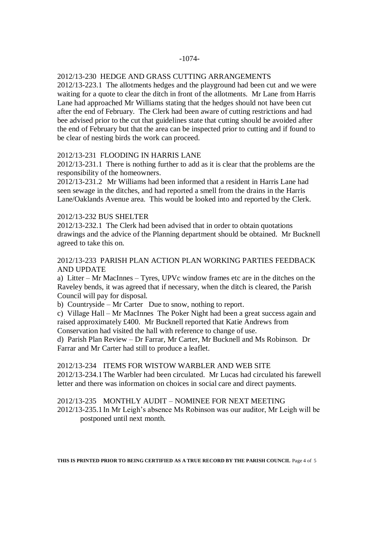# 2012/13-230 HEDGE AND GRASS CUTTING ARRANGEMENTS

2012/13-223.1 The allotments hedges and the playground had been cut and we were waiting for a quote to clear the ditch in front of the allotments. Mr Lane from Harris Lane had approached Mr Williams stating that the hedges should not have been cut after the end of February. The Clerk had been aware of cutting restrictions and had bee advised prior to the cut that guidelines state that cutting should be avoided after the end of February but that the area can be inspected prior to cutting and if found to be clear of nesting birds the work can proceed.

## 2012/13-231 FLOODING IN HARRIS LANE

2012/13-231.1 There is nothing further to add as it is clear that the problems are the responsibility of the homeowners.

2012/13-231.2 Mr Williams had been informed that a resident in Harris Lane had seen sewage in the ditches, and had reported a smell from the drains in the Harris Lane/Oaklands Avenue area. This would be looked into and reported by the Clerk.

### 2012/13-232 BUS SHELTER

2012/13-232.1 The Clerk had been advised that in order to obtain quotations drawings and the advice of the Planning department should be obtained. Mr Bucknell agreed to take this on.

## 2012/13-233 PARISH PLAN ACTION PLAN WORKING PARTIES FEEDBACK AND UPDATE

a) Litter – Mr MacInnes – Tyres, UPVc window frames etc are in the ditches on the Raveley bends, it was agreed that if necessary, when the ditch is cleared, the Parish Council will pay for disposal.

b) Countryside – Mr Carter Due to snow, nothing to report.

c) Village Hall – Mr MacInnes The Poker Night had been a great success again and raised approximately £400. Mr Bucknell reported that Katie Andrews from Conservation had visited the hall with reference to change of use.

d) Parish Plan Review – Dr Farrar, Mr Carter, Mr Bucknell and Ms Robinson. Dr Farrar and Mr Carter had still to produce a leaflet.

### 2012/13-234 ITEMS FOR WISTOW WARBLER AND WEB SITE

2012/13-234.1The Warbler had been circulated. Mr Lucas had circulated his farewell letter and there was information on choices in social care and direct payments.

### 2012/13-235 MONTHLY AUDIT – NOMINEE FOR NEXT MEETING

2012/13-235.1In Mr Leigh's absence Ms Robinson was our auditor, Mr Leigh will be postponed until next month.

**THIS IS PRINTED PRIOR TO BEING CERTIFIED AS A TRUE RECORD BY THE PARISH COUNCIL** Page 4 of 5